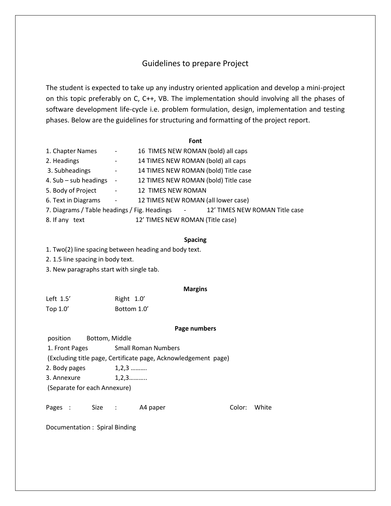## Guidelines to prepare Project

The student is expected to take up any industry oriented application and develop a mini-project on this topic preferably on C, C++, VB. The implementation should involving all the phases of software development life-cycle i.e. problem formulation, design, implementation and testing phases. Below are the guidelines for structuring and formatting of the project report.

### **Font**

| 1. Chapter Names                             | $\qquad \qquad \blacksquare$ | 16 TIMES NEW ROMAN (bold) all caps               |
|----------------------------------------------|------------------------------|--------------------------------------------------|
| 2. Headings                                  | $\qquad \qquad -$            | 14 TIMES NEW ROMAN (bold) all caps               |
| 3. Subheadings                               | $\overline{\phantom{a}}$     | 14 TIMES NEW ROMAN (bold) Title case             |
| 4. $Sub - sub$ headings                      | $\overline{\phantom{a}}$     | 12 TIMES NEW ROMAN (bold) Title case             |
| 5. Body of Project                           | $\overline{\phantom{a}}$     | 12 TIMES NEW ROMAN                               |
| 6. Text in Diagrams                          | $\blacksquare$               | 12 TIMES NEW ROMAN (all lower case)              |
| 7. Diagrams / Table headings / Fig. Headings |                              | 12' TIMES NEW ROMAN Title case<br>$\blacksquare$ |
| 8. If any text                               |                              | 12' TIMES NEW ROMAN (Title case)                 |

#### **Spacing**

1. Two(2) line spacing between heading and body text.

2. 1.5 line spacing in body text.

3. New paragraphs start with single tab.

#### **Margins**

Left 1.5' Right 1.0' Top 1.0' Bottom 1.0'

#### **Page numbers**

position Bottom, Middle

1. Front Pages Small Roman Numbers

(Excluding title page, Certificate page, Acknowledgement page)

2. Body pages 1,2,3 ..........

3. Annexure 1,2,3...........

(Separate for each Annexure)

Pages : Size : A4 paper Color: White

Documentation : Spiral Binding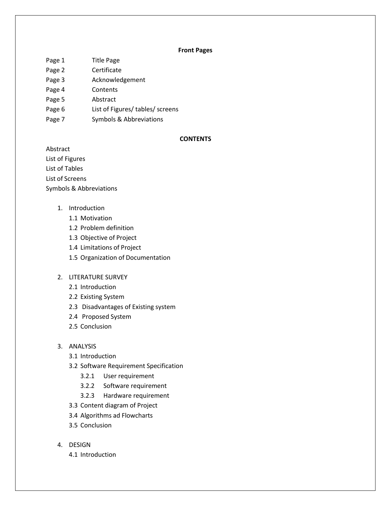#### **Front Pages**

- Page 1 Title Page
- Page 2 Certificate
- Page 3 Acknowledgement
- Page 4 Contents
- Page 5 Abstract
- Page 6 List of Figures/ tables/ screens
- Page 7 Symbols & Abbreviations

### **CONTENTS**

Abstract List of Figures List of Tables List of Screens Symbols & Abbreviations

- 1. Introduction
	- 1.1 Motivation
	- 1.2 Problem definition
	- 1.3 Objective of Project
	- 1.4 Limitations of Project
	- 1.5 Organization of Documentation

## 2. LITERATURE SURVEY

- 2.1 Introduction
- 2.2 Existing System
- 2.3 Disadvantages of Existing system
- 2.4 Proposed System
- 2.5 Conclusion

## 3. ANALYSIS

- 3.1 Introduction
- 3.2 Software Requirement Specification
	- 3.2.1 User requirement
	- 3.2.2 Software requirement
	- 3.2.3 Hardware requirement
- 3.3 Content diagram of Project
- 3.4 Algorithms ad Flowcharts
- 3.5 Conclusion
- 4. DESIGN
	- 4.1 Introduction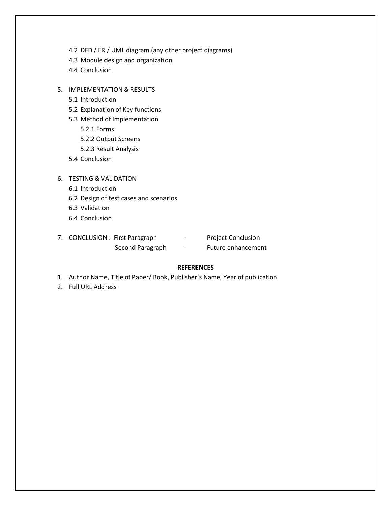- 4.2 DFD / ER / UML diagram (any other project diagrams)
- 4.3 Module design and organization
- 4.4 Conclusion
- 5. IMPLEMENTATION & RESULTS
	- 5.1 Introduction
	- 5.2 Explanation of Key functions
	- 5.3 Method of Implementation
		- 5.2.1 Forms
		- 5.2.2 Output Screens
		- 5.2.3 Result Analysis
	- 5.4 Conclusion
- 6. TESTING & VALIDATION
	- 6.1 Introduction
	- 6.2 Design of test cases and scenarios
	- 6.3 Validation
	- 6.4 Conclusion

| 7. CONCLUSION : First Paragraph | $\overline{\phantom{0}}$ | <b>Project Conclusion</b> |
|---------------------------------|--------------------------|---------------------------|
| Second Paragraph                | $\overline{\phantom{0}}$ | Future enhancement        |

## **REFERENCES**

- 1. Author Name, Title of Paper/ Book, Publisher's Name, Year of publication
- 2. Full URL Address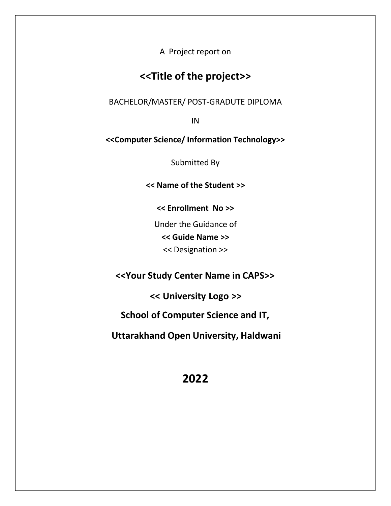A Project report on

# **<<Title of the project>>**

BACHELOR/MASTER/ POST-GRADUTE DIPLOMA

IN

**<<Computer Science/ Information Technology>>**

Submitted By

**<< Name of the Student >>**

**<< Enrollment No >>**

Under the Guidance of **<< Guide Name >>** << Designation >>

**<<Your Study Center Name in CAPS>>**

**<< University Logo >>**

**School of Computer Science and IT,**

**Uttarakhand Open University, Haldwani**

# **2022**